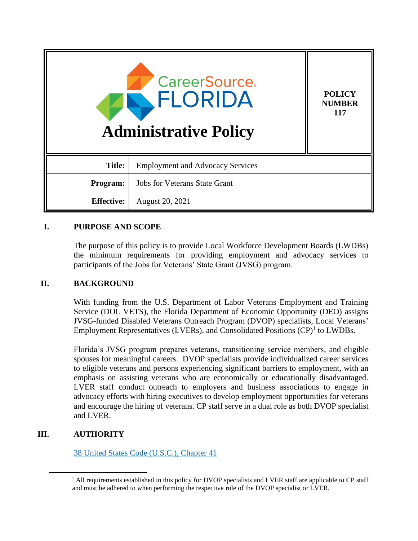| <b>CareerSource</b><br><b>FLORIDA</b><br><b>Administrative Policy</b> |                                         | <b>POLICY</b><br><b>NUMBER</b><br>117 |
|-----------------------------------------------------------------------|-----------------------------------------|---------------------------------------|
| <b>Title:</b>                                                         | <b>Employment and Advocacy Services</b> |                                       |
| Program:                                                              | <b>Jobs for Veterans State Grant</b>    |                                       |
| <b>Effective:</b>                                                     | August 20, 2021                         |                                       |

# **I. PURPOSE AND SCOPE**

The purpose of this policy is to provide Local Workforce Development Boards (LWDBs) the minimum requirements for providing employment and advocacy services to participants of the Jobs for Veterans' State Grant (JVSG) program.

# **II. BACKGROUND**

With funding from the U.S. Department of Labor Veterans Employment and Training Service (DOL VETS), the Florida Department of Economic Opportunity (DEO) assigns JVSG-funded Disabled Veterans Outreach Program (DVOP) specialists, Local Veterans' Employment Representatives (LVERs), and Consolidated Positions  $(CP)^1$  to LWDBs.

Florida's JVSG program prepares veterans, transitioning service members, and eligible spouses for meaningful careers. DVOP specialists provide individualized career services to eligible veterans and persons experiencing significant barriers to employment, with an emphasis on assisting veterans who are economically or educationally disadvantaged. LVER staff conduct outreach to employers and business associations to engage in advocacy efforts with hiring executives to develop employment opportunities for veterans and encourage the hiring of veterans. CP staff serve in a dual role as both DVOP specialist and LVER.

# **III. AUTHORITY**

[38 United States Code \(U.S.C.\), Chapter 41](https://uscode.house.gov/view.xhtml?path=/prelim@title38/part3/chapter41&edition=prelim)

<sup>&</sup>lt;sup>1</sup> All requirements established in this policy for DVOP specialists and LVER staff are applicable to CP staff and must be adhered to when performing the respective role of the DVOP specialist or LVER.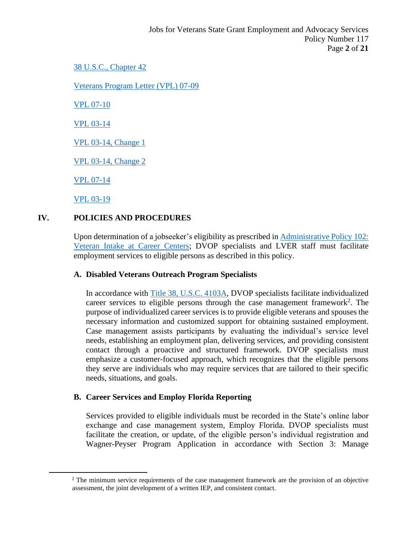#### [38 U.S.C., Chapter 42](https://uscode.house.gov/view.xhtml?path=/prelim@title38/part3/chapter42&edition=prelim)

[Veterans Program Letter \(VPL\) 07-09](https://www.dol.gov/sites/dolgov/files/VETS/legacy/files/VPL-07-09.pdf)

[VPL 07-10](https://www.dol.gov/sites/dolgov/files/VETS/legacy/files/VPL-07-Refocused-Roles.pdf)

[VPL 03-14](https://www.dol.gov/sites/dolgov/files/VETS/legacy/files/VPL-03-14.pdf)

[VPL 03-14, Change 1](https://www.dol.gov/sites/dolgov/files/VETS/legacy/files/VPL-03-14-Change-1.pdf)

[VPL 03-14, Change 2](https://www.dol.gov/sites/dolgov/files/VETS/legacy/files/VPL-03-14-Change-2.pdf)

[VPL 07-14](https://www.dol.gov/sites/dolgov/files/VETS/legacy/files/VPL-07-14.pdf)

[VPL 03-19](https://www.dol.gov/sites/dolgov/files/VETS/legacy/files/veterans-program-letter-03-19.pdf)

# **IV. POLICIES AND PROCEDURES**

Upon determination of a jobseeker's eligibility as prescribed in [Administrative Policy 102:](http://floridajobs.org/docs/default-source/lwdb-resources/policy-and-guidance/guidance-papers/2021-guidance-papers/adminpol102_jvsg-veteranintake-at-careercenters---final-06092021.pdf?sfvrsn=ebad4eb0_2)  [Veteran Intake at Career Centers;](http://floridajobs.org/docs/default-source/lwdb-resources/policy-and-guidance/guidance-papers/2021-guidance-papers/adminpol102_jvsg-veteranintake-at-careercenters---final-06092021.pdf?sfvrsn=ebad4eb0_2) DVOP specialists and LVER staff must facilitate employment services to eligible persons as described in this policy.

#### **A. Disabled Veterans Outreach Program Specialists**

In accordance with [Title 38, U.S.C. 4103A,](https://uscode.house.gov/view.xhtml?req=granuleid:USC-prelim-title38-section4103A&num=0&edition=prelim) DVOP specialists facilitate individualized career services to eligible persons through the case management framework<sup>2</sup>. The purpose of individualized career services is to provide eligible veterans and spouses the necessary information and customized support for obtaining sustained employment. Case management assists participants by evaluating the individual's service level needs, establishing an employment plan, delivering services, and providing consistent contact through a proactive and structured framework. DVOP specialists must emphasize a customer-focused approach, which recognizes that the eligible persons they serve are individuals who may require services that are tailored to their specific needs, situations, and goals.

# **B. Career Services and Employ Florida Reporting**

Services provided to eligible individuals must be recorded in the State's online labor exchange and case management system, Employ Florida. DVOP specialists must facilitate the creation, or update, of the eligible person's individual registration and Wagner-Peyser Program Application in accordance with Section 3: Manage

<sup>&</sup>lt;sup>2</sup> The minimum service requirements of the case management framework are the provision of an objective assessment, the joint development of a written IEP, and consistent contact.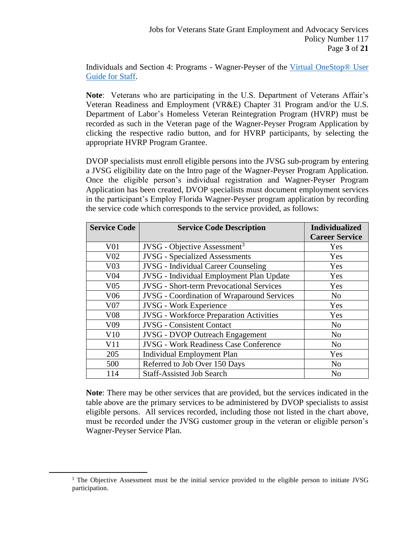Individuals and Section 4: Programs - Wagner-Peyser of the Virtual OneStop® User [Guide for Staff.](https://www.employflorida.com/vosnet/staffresources.aspx)

**Note**: Veterans who are participating in the U.S. Department of Veterans Affair's Veteran Readiness and Employment (VR&E) Chapter 31 Program and/or the U.S. Department of Labor's Homeless Veteran Reintegration Program (HVRP) must be recorded as such in the Veteran page of the Wagner-Peyser Program Application by clicking the respective radio button, and for HVRP participants, by selecting the appropriate HVRP Program Grantee.

DVOP specialists must enroll eligible persons into the JVSG sub-program by entering a JVSG eligibility date on the Intro page of the Wagner-Peyser Program Application. Once the eligible person's individual registration and Wagner-Peyser Program Application has been created, DVOP specialists must document employment services in the participant's Employ Florida Wagner-Peyser program application by recording the service code which corresponds to the service provided, as follows:

| <b>Service Code</b> | <b>Service Code Description</b>                   | <b>Individualized</b> |
|---------------------|---------------------------------------------------|-----------------------|
|                     |                                                   | <b>Career Service</b> |
| V <sub>01</sub>     | $JVSG$ - Objective Assessment <sup>3</sup>        | Yes                   |
| V <sub>02</sub>     | <b>JVSG</b> - Specialized Assessments             | Yes                   |
| V <sub>03</sub>     | <b>JVSG</b> - Individual Career Counseling        | Yes                   |
| V <sub>04</sub>     | JVSG - Individual Employment Plan Update          | Yes                   |
| V <sub>05</sub>     | <b>JVSG</b> - Short-term Prevocational Services   | Yes                   |
| V <sub>06</sub>     | <b>JVSG</b> - Coordination of Wraparound Services | N <sub>o</sub>        |
| V <sub>07</sub>     | <b>JVSG</b> - Work Experience                     | Yes                   |
| <b>V08</b>          | <b>JVSG</b> - Workforce Preparation Activities    | Yes                   |
| V <sub>09</sub>     | <b>JVSG</b> - Consistent Contact                  | N <sub>o</sub>        |
| V10                 | <b>JVSG - DVOP Outreach Engagement</b>            | N <sub>o</sub>        |
| V11                 | <b>JVSG - Work Readiness Case Conference</b>      | N <sub>o</sub>        |
| 205                 | <b>Individual Employment Plan</b>                 | Yes                   |
| 500                 | Referred to Job Over 150 Days                     | N <sub>o</sub>        |
| 114                 | <b>Staff-Assisted Job Search</b>                  | N <sub>o</sub>        |

**Note**: There may be other services that are provided, but the services indicated in the table above are the primary services to be administered by DVOP specialists to assist eligible persons. All services recorded, including those not listed in the chart above, must be recorded under the JVSG customer group in the veteran or eligible person's Wagner-Peyser Service Plan.

<sup>&</sup>lt;sup>3</sup> The Objective Assessment must be the initial service provided to the eligible person to initiate JVSG participation.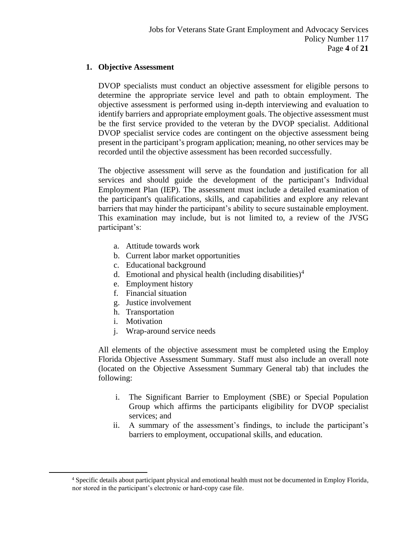# **1. Objective Assessment**

DVOP specialists must conduct an objective assessment for eligible persons to determine the appropriate service level and path to obtain employment. The objective assessment is performed using in-depth interviewing and evaluation to identify barriers and appropriate employment goals. The objective assessment must be the first service provided to the veteran by the DVOP specialist. Additional DVOP specialist service codes are contingent on the objective assessment being present in the participant's program application; meaning, no other services may be recorded until the objective assessment has been recorded successfully.

The objective assessment will serve as the foundation and justification for all services and should guide the development of the participant's Individual Employment Plan (IEP). The assessment must include a detailed examination of the participant's qualifications, skills, and capabilities and explore any relevant barriers that may hinder the participant's ability to secure sustainable employment. This examination may include, but is not limited to, a review of the JVSG participant's:

- a. Attitude towards work
- b. Current labor market opportunities
- c. Educational background
- d. Emotional and physical health (including disabilities)<sup>4</sup>
- e. Employment history
- f. Financial situation
- g. Justice involvement
- h. Transportation
- i. Motivation
- j. Wrap-around service needs

All elements of the objective assessment must be completed using the Employ Florida Objective Assessment Summary. Staff must also include an overall note (located on the Objective Assessment Summary General tab) that includes the following:

- i. The Significant Barrier to Employment (SBE) or Special Population Group which affirms the participants eligibility for DVOP specialist services; and
- ii. A summary of the assessment's findings, to include the participant's barriers to employment, occupational skills, and education.

<sup>4</sup> Specific details about participant physical and emotional health must not be documented in Employ Florida, nor stored in the participant's electronic or hard-copy case file.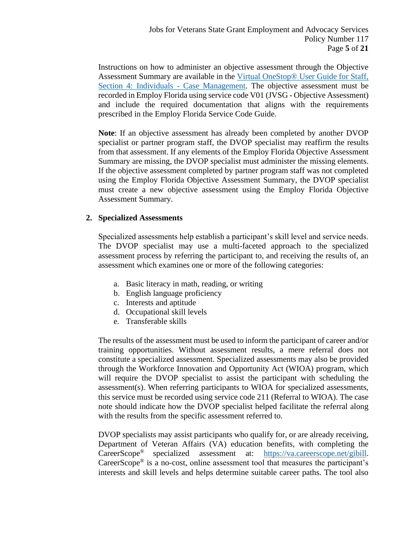Instructions on how to administer an objective assessment through the Objective Assessment Summary are available in the [Virtual OneStop® User Guide for Staff,](https://www.employflorida.com/admin/gsipub/htmlarea/uploads/Staff%20Guide_04_Case_Management.pdf)  [Section 4: Individuals -](https://www.employflorida.com/admin/gsipub/htmlarea/uploads/Staff%20Guide_04_Case_Management.pdf) Case Management. The objective assessment must be recorded in Employ Florida using service code V01 (JVSG - Objective Assessment) and include the required documentation that aligns with the requirements prescribed in the Employ Florida Service Code Guide.

**Note**: If an objective assessment has already been completed by another DVOP specialist or partner program staff, the DVOP specialist may reaffirm the results from that assessment. If any elements of the Employ Florida Objective Assessment Summary are missing, the DVOP specialist must administer the missing elements. If the objective assessment completed by partner program staff was not completed using the Employ Florida Objective Assessment Summary, the DVOP specialist must create a new objective assessment using the Employ Florida Objective Assessment Summary.

#### **2. Specialized Assessments**

Specialized assessments help establish a participant's skill level and service needs. The DVOP specialist may use a multi-faceted approach to the specialized assessment process by referring the participant to, and receiving the results of, an assessment which examines one or more of the following categories:

- a. Basic literacy in math, reading, or writing
- b. English language proficiency
- c. Interests and aptitude
- d. Occupational skill levels
- e. Transferable skills

The results of the assessment must be used to inform the participant of career and/or training opportunities. Without assessment results, a mere referral does not constitute a specialized assessment. Specialized assessments may also be provided through the Workforce Innovation and Opportunity Act (WIOA) program, which will require the DVOP specialist to assist the participant with scheduling the assessment(s). When referring participants to WIOA for specialized assessments, this service must be recorded using service code 211 (Referral to WIOA). The case note should indicate how the DVOP specialist helped facilitate the referral along with the results from the specific assessment referred to.

DVOP specialists may assist participants who qualify for, or are already receiving, Department of Veteran Affairs (VA) education benefits, with completing the CareerScope® specialized assessment at: [https://va.careerscope.net/gibill.](https://va.careerscope.net/gibill) CareerScope® is a no-cost, online assessment tool that measures the participant's interests and skill levels and helps determine suitable career paths. The tool also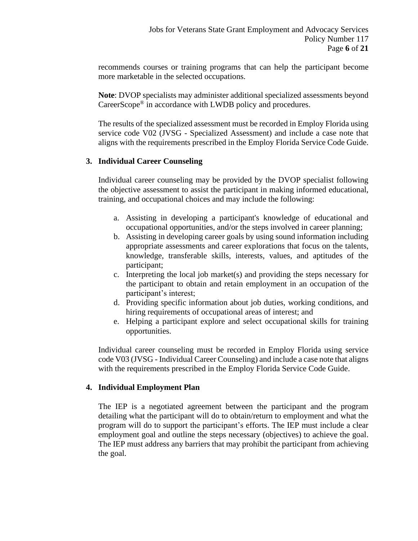recommends courses or training programs that can help the participant become more marketable in the selected occupations.

**Note**: DVOP specialists may administer additional specialized assessments beyond CareerScope® in accordance with LWDB policy and procedures.

The results of the specialized assessment must be recorded in Employ Florida using service code V02 (JVSG - Specialized Assessment) and include a case note that aligns with the requirements prescribed in the Employ Florida Service Code Guide.

#### **3. Individual Career Counseling**

Individual career counseling may be provided by the DVOP specialist following the objective assessment to assist the participant in making informed educational, training, and occupational choices and may include the following:

- a. Assisting in developing a participant's knowledge of educational and occupational opportunities, and/or the steps involved in career planning;
- b. Assisting in developing career goals by using sound information including appropriate assessments and career explorations that focus on the talents, knowledge, transferable skills, interests, values, and aptitudes of the participant;
- c. Interpreting the local job market(s) and providing the steps necessary for the participant to obtain and retain employment in an occupation of the participant's interest;
- d. Providing specific information about job duties, working conditions, and hiring requirements of occupational areas of interest; and
- e. Helping a participant explore and select occupational skills for training opportunities.

Individual career counseling must be recorded in Employ Florida using service code V03 (JVSG - Individual Career Counseling) and include a case note that aligns with the requirements prescribed in the Employ Florida Service Code Guide.

#### **4. Individual Employment Plan**

The IEP is a negotiated agreement between the participant and the program detailing what the participant will do to obtain/return to employment and what the program will do to support the participant's efforts. The IEP must include a clear employment goal and outline the steps necessary (objectives) to achieve the goal. The IEP must address any barriers that may prohibit the participant from achieving the goal.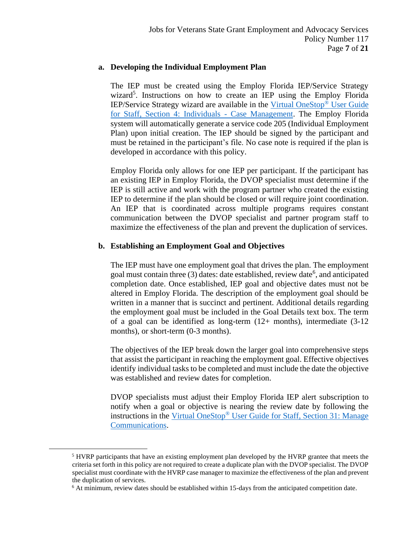#### **a. Developing the Individual Employment Plan**

The IEP must be created using the Employ Florida IEP/Service Strategy wizard<sup>5</sup>. Instructions on how to create an IEP using the Employ Florida IEP/Service Strategy wizard are available in the [Virtual OneStop](https://www.employflorida.com/admin/gsipub/htmlarea/uploads/Staff%20Guide_04_Case_Management.pdf)® User Guide [for Staff, Section 4: Individuals -](https://www.employflorida.com/admin/gsipub/htmlarea/uploads/Staff%20Guide_04_Case_Management.pdf) Case Management. The Employ Florida system will automatically generate a service code 205 (Individual Employment Plan) upon initial creation. The IEP should be signed by the participant and must be retained in the participant's file. No case note is required if the plan is developed in accordance with this policy.

Employ Florida only allows for one IEP per participant. If the participant has an existing IEP in Employ Florida, the DVOP specialist must determine if the IEP is still active and work with the program partner who created the existing IEP to determine if the plan should be closed or will require joint coordination. An IEP that is coordinated across multiple programs requires constant communication between the DVOP specialist and partner program staff to maximize the effectiveness of the plan and prevent the duplication of services.

#### **b. Establishing an Employment Goal and Objectives**

The IEP must have one employment goal that drives the plan. The employment goal must contain three  $(3)$  dates: date established, review date<sup>6</sup>, and anticipated completion date. Once established, IEP goal and objective dates must not be altered in Employ Florida. The description of the employment goal should be written in a manner that is succinct and pertinent. Additional details regarding the employment goal must be included in the Goal Details text box. The term of a goal can be identified as long-term  $(12+$  months), intermediate  $(3-12)$ months), or short-term (0-3 months).

The objectives of the IEP break down the larger goal into comprehensive steps that assist the participant in reaching the employment goal. Effective objectives identify individual tasks to be completed and must include the date the objective was established and review dates for completion.

DVOP specialists must adjust their Employ Florida IEP alert subscription to notify when a goal or objective is nearing the review date by following the instructions in the Virtual OneStop® [User Guide for Staff, Section 31: Manage](https://www.employflorida.com/vosnet/GSIPub/GSIpubpdfView.aspx?docid=Staff_Guide_31_Manage_Communications.pdf)  [Communications.](https://www.employflorida.com/vosnet/GSIPub/GSIpubpdfView.aspx?docid=Staff_Guide_31_Manage_Communications.pdf)

<sup>5</sup> HVRP participants that have an existing employment plan developed by the HVRP grantee that meets the criteria set forth in this policy are not required to create a duplicate plan with the DVOP specialist. The DVOP specialist must coordinate with the HVRP case manager to maximize the effectiveness of the plan and prevent the duplication of services.

<sup>6</sup> At minimum, review dates should be established within 15-days from the anticipated competition date.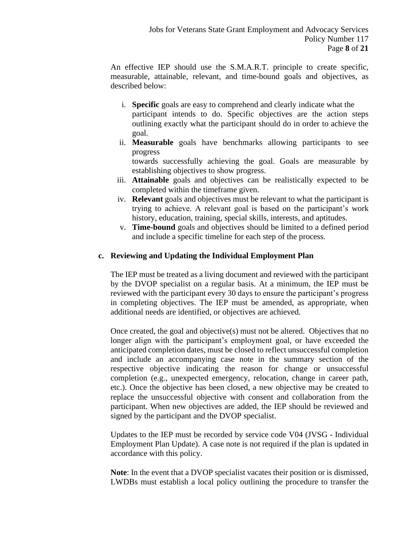An effective IEP should use the S.M.A.R.T. principle to create specific, measurable, attainable, relevant, and time-bound goals and objectives, as described below:

- i. **Specific** goals are easy to comprehend and clearly indicate what the participant intends to do. Specific objectives are the action steps outlining exactly what the participant should do in order to achieve the goal.
- ii. **Measurable** goals have benchmarks allowing participants to see progress

towards successfully achieving the goal. Goals are measurable by establishing objectives to show progress.

- iii. **Attainable** goals and objectives can be realistically expected to be completed within the timeframe given.
- iv. **Relevant** goals and objectives must be relevant to what the participant is trying to achieve. A relevant goal is based on the participant's work history, education, training, special skills, interests, and aptitudes.
- v. **Time-bound** goals and objectives should be limited to a defined period and include a specific timeline for each step of the process.

# **c. Reviewing and Updating the Individual Employment Plan**

The IEP must be treated as a living document and reviewed with the participant by the DVOP specialist on a regular basis. At a minimum, the IEP must be reviewed with the participant every 30 days to ensure the participant's progress in completing objectives. The IEP must be amended, as appropriate, when additional needs are identified, or objectives are achieved.

Once created, the goal and objective(s) must not be altered. Objectives that no longer align with the participant's employment goal, or have exceeded the anticipated completion dates, must be closed to reflect unsuccessful completion and include an accompanying case note in the summary section of the respective objective indicating the reason for change or unsuccessful completion (e.g., unexpected emergency, relocation, change in career path, etc.). Once the objective has been closed, a new objective may be created to replace the unsuccessful objective with consent and collaboration from the participant. When new objectives are added, the IEP should be reviewed and signed by the participant and the DVOP specialist.

Updates to the IEP must be recorded by service code V04 (JVSG - Individual Employment Plan Update). A case note is not required if the plan is updated in accordance with this policy.

**Note**: In the event that a DVOP specialist vacates their position or is dismissed, LWDBs must establish a local policy outlining the procedure to transfer the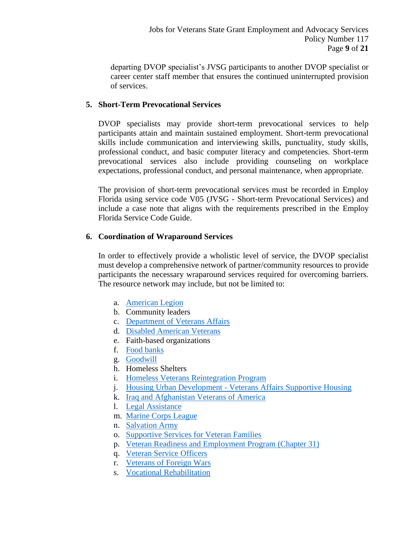departing DVOP specialist's JVSG participants to another DVOP specialist or career center staff member that ensures the continued uninterrupted provision of services.

# **5. Short-Term Prevocational Services**

DVOP specialists may provide short-term prevocational services to help participants attain and maintain sustained employment. Short-term prevocational skills include communication and interviewing skills, punctuality, study skills, professional conduct, and basic computer literacy and competencies. Short-term prevocational services also include providing counseling on workplace expectations, professional conduct, and personal maintenance, when appropriate.

The provision of short-term prevocational services must be recorded in Employ Florida using service code V05 (JVSG - Short-term Prevocational Services) and include a case note that aligns with the requirements prescribed in the Employ Florida Service Code Guide.

# **6. Coordination of Wraparound Services**

In order to effectively provide a wholistic level of service, the DVOP specialist must develop a comprehensive network of partner/community resources to provide participants the necessary wraparound services required for overcoming barriers. The resource network may include, but not be limited to:

- a. [American Legion](https://www.legion.org/)
- b. Community leaders
- c. [Department of Veterans Affairs](https://www.va.gov/)
- d. [Disabled American Veterans](https://www.dav.org/)
- e. Faith-based organizations
- f. [Food banks](https://www.feedingflorida.org/feeding-florida/florida-food-banks)
- g. [Goodwill](https://www.goodwill.org/)
- h. Homeless Shelters
- i. Homeless Veterans Reintegration Program
- j. Housing Urban Development [Veterans Affairs Supportive Ho](https://www.va.gov/homeless/hud-vash_eligibility.asp)using
- k. [Iraq and Afghanistan Veterans of America](https://iava.org/)
- l. [Legal Assistance](https://www.enterpriseflorida.com/military-defense/governors-gi-law/)
- m. [Marine Corps League](https://www.mclnational.org/)
- n. [Salvation Army](https://www.salvationarmyusa.org/usn/)
- o. [Supportive Services for Veteran Fa](https://www.va.gov/homeless/ssvf/)milies
- p. [Veteran Readiness and Employment Program](https://www.benefits.va.gov/vocrehab/) (Chapter 31)
- q. [Veteran Service Officers](https://floridavets.org/wp-content/uploads/CVSO-Directory-May-1-2021.pdf)
- r. [Veterans of Foreign Wars](https://www.vfw.org/)
- s. [Vocational Rehabilitation](http://www.rehabworks.org/customers.shtml)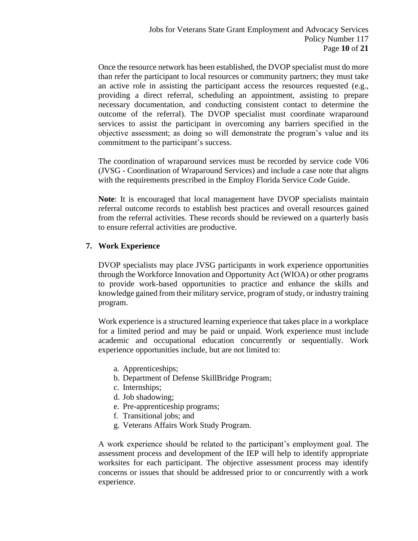Once the resource network has been established, the DVOP specialist must do more than refer the participant to local resources or community partners; they must take an active role in assisting the participant access the resources requested (e.g., providing a direct referral, scheduling an appointment, assisting to prepare necessary documentation, and conducting consistent contact to determine the outcome of the referral). The DVOP specialist must coordinate wraparound services to assist the participant in overcoming any barriers specified in the objective assessment; as doing so will demonstrate the program's value and its commitment to the participant's success.

The coordination of wraparound services must be recorded by service code V06 (JVSG - Coordination of Wraparound Services) and include a case note that aligns with the requirements prescribed in the Employ Florida Service Code Guide.

**Note**: It is encouraged that local management have DVOP specialists maintain referral outcome records to establish best practices and overall resources gained from the referral activities. These records should be reviewed on a quarterly basis to ensure referral activities are productive.

#### **7. Work Experience**

DVOP specialists may place JVSG participants in work experience opportunities through the Workforce Innovation and Opportunity Act (WIOA) or other programs to provide work-based opportunities to practice and enhance the skills and knowledge gained from their military service, program of study, or industry training program.

Work experience is a structured learning experience that takes place in a workplace for a limited period and may be paid or unpaid. Work experience must include academic and occupational education concurrently or sequentially. Work experience opportunities include, but are not limited to:

- a. Apprenticeships;
- b. Department of Defense SkillBridge Program;
- c. Internships;
- d. Job shadowing;
- e. Pre-apprenticeship programs;
- f. Transitional jobs; and
- g. Veterans Affairs Work Study Program.

A work experience should be related to the participant's employment goal. The assessment process and development of the IEP will help to identify appropriate worksites for each participant. The objective assessment process may identify concerns or issues that should be addressed prior to or concurrently with a work experience.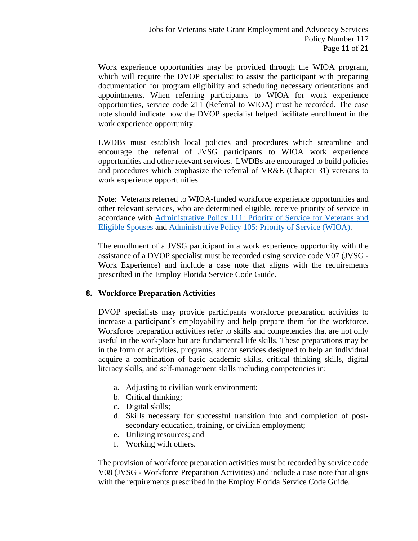Work experience opportunities may be provided through the WIOA program, which will require the DVOP specialist to assist the participant with preparing documentation for program eligibility and scheduling necessary orientations and appointments. When referring participants to WIOA for work experience opportunities, service code 211 (Referral to WIOA) must be recorded. The case note should indicate how the DVOP specialist helped facilitate enrollment in the work experience opportunity.

LWDBs must establish local policies and procedures which streamline and encourage the referral of JVSG participants to WIOA work experience opportunities and other relevant services. LWDBs are encouraged to build policies and procedures which emphasize the referral of VR&E (Chapter 31) veterans to work experience opportunities.

**Note**: Veterans referred to WIOA-funded workforce experience opportunities and other relevant services, who are determined eligible, receive priority of service in accordance with [Administrative Policy 111: Priority of Service for Veterans and](http://floridajobs.org/docs/default-source/lwdb-resources/policy-and-guidance/guidance-papers/2021-guidance-papers/administrative-policy-111-priority-of-service-for-veterans-and-eligible-spouses.pdf?sfvrsn=30ad4eb0_2)  [Eligible Spouses](http://floridajobs.org/docs/default-source/lwdb-resources/policy-and-guidance/guidance-papers/2021-guidance-papers/administrative-policy-111-priority-of-service-for-veterans-and-eligible-spouses.pdf?sfvrsn=30ad4eb0_2) and [Administrative Policy 105: Priority of Service](http://floridajobs.org/docs/default-source/lwdb-resources/policy-and-guidance/guidance-papers/2020-guidance-papers/adminpolicy105_priorityofsvc---final.pdf?sfvrsn=308643b0_2) (WIOA).

The enrollment of a JVSG participant in a work experience opportunity with the assistance of a DVOP specialist must be recorded using service code V07 (JVSG - Work Experience) and include a case note that aligns with the requirements prescribed in the Employ Florida Service Code Guide.

# **8. Workforce Preparation Activities**

DVOP specialists may provide participants workforce preparation activities to increase a participant's employability and help prepare them for the workforce. Workforce preparation activities refer to skills and competencies that are not only useful in the workplace but are fundamental life skills. These preparations may be in the form of activities, programs, and/or services designed to help an individual acquire a combination of basic academic skills, critical thinking skills, digital literacy skills, and self-management skills including competencies in:

- a. Adjusting to civilian work environment;
- b. Critical thinking;
- c. Digital skills;
- d. Skills necessary for successful transition into and completion of postsecondary education, training, or civilian employment;
- e. Utilizing resources; and
- f. Working with others.

The provision of workforce preparation activities must be recorded by service code V08 (JVSG - Workforce Preparation Activities) and include a case note that aligns with the requirements prescribed in the Employ Florida Service Code Guide.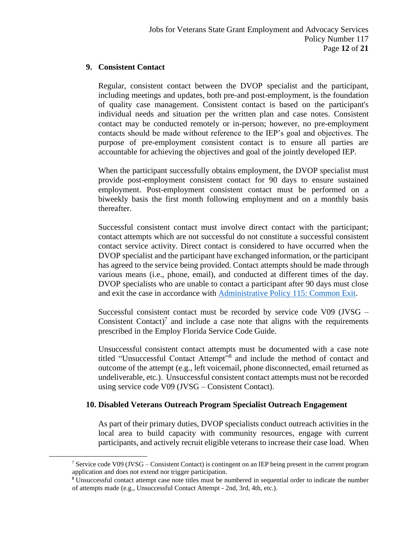#### **9. Consistent Contact**

Regular, consistent contact between the DVOP specialist and the participant, including meetings and updates, both pre-and post-employment, is the foundation of quality case management. Consistent contact is based on the participant's individual needs and situation per the written plan and case notes. Consistent contact may be conducted remotely or in-person; however, no pre-employment contacts should be made without reference to the IEP's goal and objectives. The purpose of pre-employment consistent contact is to ensure all parties are accountable for achieving the objectives and goal of the jointly developed IEP.

When the participant successfully obtains employment, the DVOP specialist must provide post-employment consistent contact for 90 days to ensure sustained employment. Post-employment consistent contact must be performed on a biweekly basis the first month following employment and on a monthly basis thereafter.

Successful consistent contact must involve direct contact with the participant; contact attempts which are not successful do not constitute a successful consistent contact service activity. Direct contact is considered to have occurred when the DVOP specialist and the participant have exchanged information, or the participant has agreed to the service being provided. Contact attempts should be made through various means (i.e., phone, email), and conducted at different times of the day. DVOP specialists who are unable to contact a participant after 90 days must close and exit the case in accordance with [Administrative Policy 115: Common Exit.](http://floridajobs.org/docs/default-source/lwdb-resources/policy-and-guidance/guidance-papers/2021-guidance-papers/adminpol115_wioa-wp-taa_commonexit---final-06092021.pdf?sfvrsn=b8f44eb0_2)

Successful consistent contact must be recorded by service code V09 (JVSG – Consistent Contact) $^7$  and include a case note that aligns with the requirements prescribed in the Employ Florida Service Code Guide.

Unsuccessful consistent contact attempts must be documented with a case note titled "Unsuccessful Contact Attempt"<sup>8</sup> and include the method of contact and outcome of the attempt (e.g., left voicemail, phone disconnected, email returned as undeliverable, etc.). Unsuccessful consistent contact attempts must not be recorded using service code V09 (JVSG – Consistent Contact).

# **10. Disabled Veterans Outreach Program Specialist Outreach Engagement**

As part of their primary duties, DVOP specialists conduct outreach activities in the local area to build capacity with community resources, engage with current participants, and actively recruit eligible veterans to increase their case load. When

<sup>&</sup>lt;sup>7</sup> Service code V09 (JVSG – Consistent Contact) is contingent on an IEP being present in the current program application and does not extend nor trigger participation.

<sup>8</sup> Unsuccessful contact attempt case note titles must be numbered in sequential order to indicate the number of attempts made (e.g., Unsuccessful Contact Attempt - 2nd, 3rd, 4th, etc.).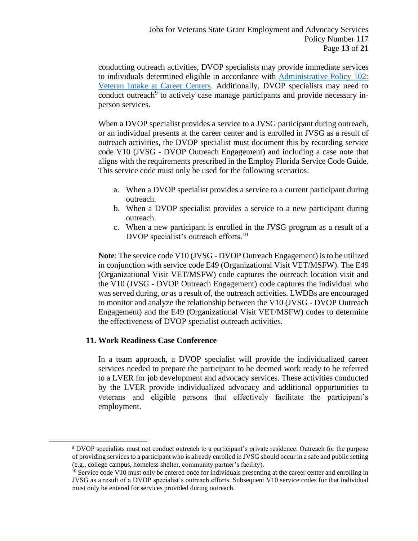conducting outreach activities, DVOP specialists may provide immediate services to individuals determined eligible in accordance with [Administrative Policy 102:](http://floridajobs.org/docs/default-source/lwdb-resources/policy-and-guidance/guidance-papers/2021-guidance-papers/adminpol102_jvsg-veteranintake-at-careercenters---final-06092021.pdf?sfvrsn=ebad4eb0_2)  [Veteran Intake at Career Centers.](http://floridajobs.org/docs/default-source/lwdb-resources/policy-and-guidance/guidance-papers/2021-guidance-papers/adminpol102_jvsg-veteranintake-at-careercenters---final-06092021.pdf?sfvrsn=ebad4eb0_2) Additionally, DVOP specialists may need to conduct outreach<sup>9</sup> to actively case manage participants and provide necessary inperson services.

When a DVOP specialist provides a service to a JVSG participant during outreach, or an individual presents at the career center and is enrolled in JVSG as a result of outreach activities, the DVOP specialist must document this by recording service code V10 (JVSG - DVOP Outreach Engagement) and including a case note that aligns with the requirements prescribed in the Employ Florida Service Code Guide. This service code must only be used for the following scenarios:

- a. When a DVOP specialist provides a service to a current participant during outreach.
- b. When a DVOP specialist provides a service to a new participant during outreach.
- c. When a new participant is enrolled in the JVSG program as a result of a DVOP specialist's outreach efforts.<sup>10</sup>

**Note**: The service code V10 (JVSG - DVOP Outreach Engagement) is to be utilized in conjunction with service code E49 (Organizational Visit VET/MSFW). The E49 (Organizational Visit VET/MSFW) code captures the outreach location visit and the V10 (JVSG - DVOP Outreach Engagement) code captures the individual who was served during, or as a result of, the outreach activities. LWDBs are encouraged to monitor and analyze the relationship between the V10 (JVSG - DVOP Outreach Engagement) and the E49 (Organizational Visit VET/MSFW) codes to determine the effectiveness of DVOP specialist outreach activities.

#### <span id="page-12-0"></span>**11. Work Readiness Case Conference**

In a team approach, a DVOP specialist will provide the individualized career services needed to prepare the participant to be deemed work ready to be referred to a LVER for job development and advocacy services. These activities conducted by the LVER provide individualized advocacy and additional opportunities to veterans and eligible persons that effectively facilitate the participant's employment.

<sup>9</sup> DVOP specialists must not conduct outreach to a participant's private residence. Outreach for the purpose of providing services to a participant who is already enrolled in JVSG should occur in a safe and public setting (e.g., college campus, homeless shelter, community partner's facility).

 $10$  Service code V10 must only be entered once for individuals presenting at the career center and enrolling in JVSG as a result of a DVOP specialist's outreach efforts. Subsequent V10 service codes for that individual must only be entered for services provided during outreach.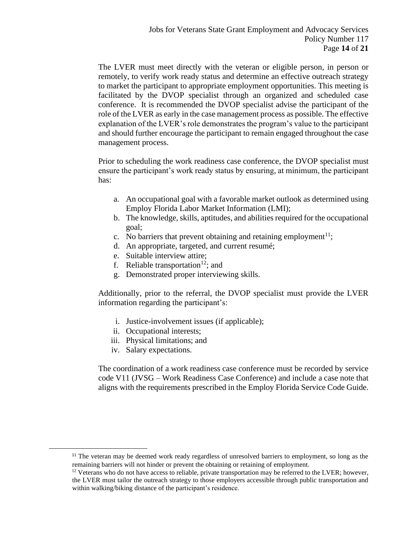The LVER must meet directly with the veteran or eligible person, in person or remotely, to verify work ready status and determine an effective outreach strategy to market the participant to appropriate employment opportunities. This meeting is facilitated by the DVOP specialist through an organized and scheduled case conference. It is recommended the DVOP specialist advise the participant of the role of the LVER as early in the case management process as possible. The effective explanation of the LVER's role demonstrates the program's value to the participant and should further encourage the participant to remain engaged throughout the case management process.

Prior to scheduling the work readiness case conference, the DVOP specialist must ensure the participant's work ready status by ensuring, at minimum, the participant has:

- a. An occupational goal with a favorable market outlook as determined using Employ Florida Labor Market Information (LMI);
- b. The knowledge, skills, aptitudes, and abilities required for the occupational goal;
- c. No barriers that prevent obtaining and retaining employment<sup>11</sup>;
- d. An appropriate, targeted, and current resumé;
- e. Suitable interview attire;
- f. Reliable transportation<sup>12</sup>; and
- g. Demonstrated proper interviewing skills.

Additionally, prior to the referral, the DVOP specialist must provide the LVER information regarding the participant's:

- i. Justice-involvement issues (if applicable);
- ii. Occupational interests;
- iii. Physical limitations; and
- iv. Salary expectations.

The coordination of a work readiness case conference must be recorded by service code V11 (JVSG – Work Readiness Case Conference) and include a case note that aligns with the requirements prescribed in the Employ Florida Service Code Guide.

<sup>&</sup>lt;sup>11</sup> The veteran may be deemed work ready regardless of unresolved barriers to employment, so long as the remaining barriers will not hinder or prevent the obtaining or retaining of employment.

 $12$  Veterans who do not have access to reliable, private transportation may be referred to the LVER; however, the LVER must tailor the outreach strategy to those employers accessible through public transportation and within walking/biking distance of the participant's residence.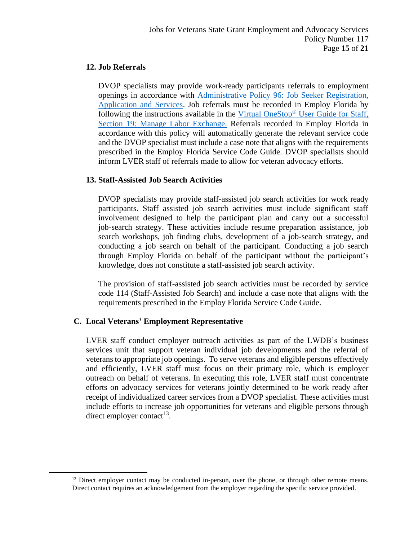#### **12. Job Referrals**

DVOP specialists may provide work-ready participants referrals to employment openings in accordance with [Administrative Policy 96: Job Seeker Registration,](https://floridajobs.org/docs/default-source/lwdb-resources/policy-and-guidance/guidance-papers/2021-guidance-papers/adminpolicy096_wp-job-seeker-regn-app-and-svcs---final-01072021.pdf?sfvrsn=c9b94db0_2)  [Application and Services.](https://floridajobs.org/docs/default-source/lwdb-resources/policy-and-guidance/guidance-papers/2021-guidance-papers/adminpolicy096_wp-job-seeker-regn-app-and-svcs---final-01072021.pdf?sfvrsn=c9b94db0_2) Job referrals must be recorded in Employ Florida by following the instructions available in the Virtual OneStop® [User Guide for Staff,](https://www.employflorida.com/vosnet/GSIPub/GSIpubpdfView.aspx?docid=Staff_Guide_19_Manage_Labor_Exchange.pdf)  [Section 19: Manage Labor Exchange.](https://www.employflorida.com/vosnet/GSIPub/GSIpubpdfView.aspx?docid=Staff_Guide_19_Manage_Labor_Exchange.pdf) Referrals recorded in Employ Florida in accordance with this policy will automatically generate the relevant service code and the DVOP specialist must include a case note that aligns with the requirements prescribed in the Employ Florida Service Code Guide. DVOP specialists should inform LVER staff of referrals made to allow for veteran advocacy efforts.

# **13. Staff-Assisted Job Search Activities**

DVOP specialists may provide staff-assisted job search activities for work ready participants. Staff assisted job search activities must include significant staff involvement designed to help the participant plan and carry out a successful job-search strategy. These activities include resume preparation assistance, job search workshops, job finding clubs, development of a job-search strategy, and conducting a job search on behalf of the participant. Conducting a job search through Employ Florida on behalf of the participant without the participant's knowledge, does not constitute a staff-assisted job search activity.

The provision of staff-assisted job search activities must be recorded by service code 114 (Staff-Assisted Job Search) and include a case note that aligns with the requirements prescribed in the Employ Florida Service Code Guide.

#### **C. Local Veterans' Employment Representative**

LVER staff conduct employer outreach activities as part of the LWDB's business services unit that support veteran individual job developments and the referral of veterans to appropriate job openings. To serve veterans and eligible persons effectively and efficiently, LVER staff must focus on their primary role, which is employer outreach on behalf of veterans. In executing this role, LVER staff must concentrate efforts on advocacy services for veterans jointly determined to be work ready after receipt of individualized career services from a DVOP specialist. These activities must include efforts to increase job opportunities for veterans and eligible persons through direct employer contact<sup>13</sup>.

<sup>&</sup>lt;sup>13</sup> Direct employer contact may be conducted in-person, over the phone, or through other remote means. Direct contact requires an acknowledgement from the employer regarding the specific service provided.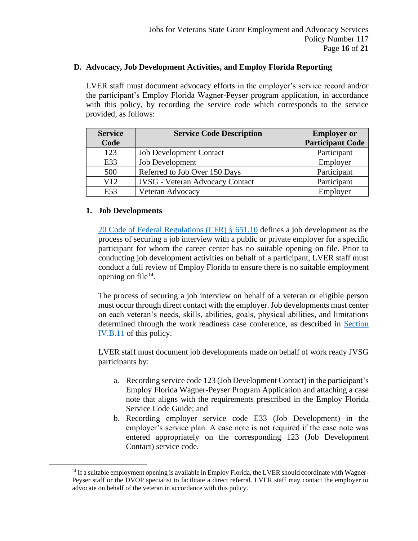#### **D. Advocacy, Job Development Activities, and Employ Florida Reporting**

LVER staff must document advocacy efforts in the employer's service record and/or the participant's Employ Florida Wagner-Peyser program application, in accordance with this policy, by recording the service code which corresponds to the service provided, as follows:

| <b>Service</b> | <b>Service Code Description</b>        | <b>Employer or</b>      |
|----------------|----------------------------------------|-------------------------|
| Code           |                                        | <b>Participant Code</b> |
| 123            | <b>Job Development Contact</b>         | Participant             |
| E33            | Job Development                        | Employer                |
| 500            | Referred to Job Over 150 Days          | Participant             |
| V12            | <b>JVSG</b> - Veteran Advocacy Contact | Participant             |
| E53            | Veteran Advocacy                       | Employer                |

#### **1. Job Developments**

[20 Code of Federal Regulations \(CFR\) § 651.10](https://www.govinfo.gov/content/pkg/CFR-2011-title20-vol3/pdf/CFR-2011-title20-vol3-sec651-10.pdf) defines a job development as the process of securing a job interview with a public or private employer for a specific participant for whom the career center has no suitable opening on file. Prior to conducting job development activities on behalf of a participant, LVER staff must conduct a full review of Employ Florida to ensure there is no suitable employment opening on file $14$ .

The process of securing a job interview on behalf of a veteran or eligible person must occur through direct contact with the employer. Job developments must center on each veteran's needs, skills, abilities, goals, physical abilities, and limitations determined through the work readiness case conference, as described in [Section](#page-12-0)  [IV.B.11](#page-12-0) of this policy.

LVER staff must document job developments made on behalf of work ready JVSG participants by:

- a. Recording service code 123 (Job Development Contact) in the participant's Employ Florida Wagner-Peyser Program Application and attaching a case note that aligns with the requirements prescribed in the Employ Florida Service Code Guide; and
- b. Recording employer service code E33 (Job Development) in the employer's service plan. A case note is not required if the case note was entered appropriately on the corresponding 123 (Job Development Contact) service code.

<sup>&</sup>lt;sup>14</sup> If a suitable employment opening is available in Employ Florida, the LVER should coordinate with Wagner-Peyser staff or the DVOP specialist to facilitate a direct referral. LVER staff may contact the employer to advocate on behalf of the veteran in accordance with this policy.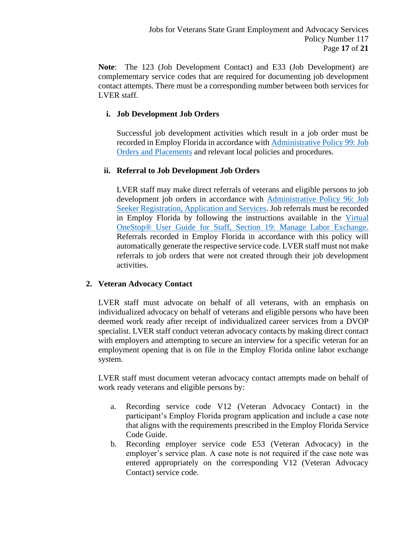**Note**: The 123 (Job Development Contact) and E33 (Job Development) are complementary service codes that are required for documenting job development contact attempts. There must be a corresponding number between both services for LVER staff.

# **i. Job Development Job Orders**

Successful job development activities which result in a job order must be recorded in Employ Florida in accordance with Administrative Policy 99: Job [Orders and Placements](https://floridajobs.org/docs/default-source/lwdb-resources/policy-and-guidance/guidance-papers/2020-guidance-papers/adminpolicy099_joborders_placements---final.pdf?sfvrsn=5a8643b0_2) and relevant local policies and procedures.

# **ii. Referral to Job Development Job Orders**

LVER staff may make direct referrals of veterans and eligible persons to job development job orders in accordance with [Administrative Policy 96: Job](https://floridajobs.org/docs/default-source/lwdb-resources/policy-and-guidance/guidance-papers/2021-guidance-papers/adminpolicy096_wp-job-seeker-regn-app-and-svcs---final-01072021.pdf?sfvrsn=c9b94db0_2)  [Seeker Registration, Application and Services.](https://floridajobs.org/docs/default-source/lwdb-resources/policy-and-guidance/guidance-papers/2021-guidance-papers/adminpolicy096_wp-job-seeker-regn-app-and-svcs---final-01072021.pdf?sfvrsn=c9b94db0_2) Job referrals must be recorded in Employ Florida by following the instructions available in the [Virtual](https://www.employflorida.com/vosnet/GSIPub/GSIpubpdfView.aspx?docid=Staff_Guide_19_Manage_Labor_Exchange.pdf)  [OneStop® User Guide for Staff, Section 19: Manage Labor Exchange.](https://www.employflorida.com/vosnet/GSIPub/GSIpubpdfView.aspx?docid=Staff_Guide_19_Manage_Labor_Exchange.pdf) Referrals recorded in Employ Florida in accordance with this policy will automatically generate the respective service code. LVER staff must not make referrals to job orders that were not created through their job development activities.

# **2. Veteran Advocacy Contact**

LVER staff must advocate on behalf of all veterans, with an emphasis on individualized advocacy on behalf of veterans and eligible persons who have been deemed work ready after receipt of individualized career services from a DVOP specialist. LVER staff conduct veteran advocacy contacts by making direct contact with employers and attempting to secure an interview for a specific veteran for an employment opening that is on file in the Employ Florida online labor exchange system.

LVER staff must document veteran advocacy contact attempts made on behalf of work ready veterans and eligible persons by:

- a. Recording service code V12 (Veteran Advocacy Contact) in the participant's Employ Florida program application and include a case note that aligns with the requirements prescribed in the Employ Florida Service Code Guide.
- b. Recording employer service code E53 (Veteran Advocacy) in the employer's service plan. A case note is not required if the case note was entered appropriately on the corresponding V12 (Veteran Advocacy Contact) service code.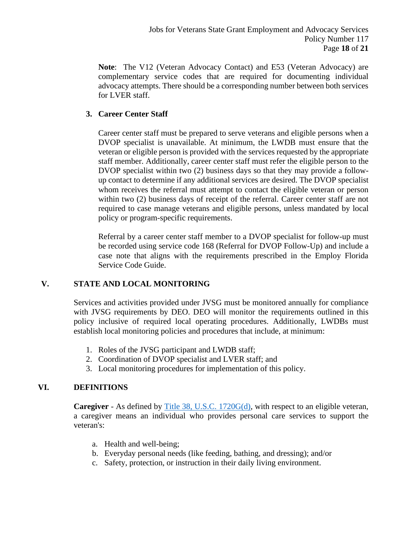**Note**: The V12 (Veteran Advocacy Contact) and E53 (Veteran Advocacy) are complementary service codes that are required for documenting individual advocacy attempts. There should be a corresponding number between both services for LVER staff.

# **3. Career Center Staff**

Career center staff must be prepared to serve veterans and eligible persons when a DVOP specialist is unavailable. At minimum, the LWDB must ensure that the veteran or eligible person is provided with the services requested by the appropriate staff member. Additionally, career center staff must refer the eligible person to the DVOP specialist within two (2) business days so that they may provide a followup contact to determine if any additional services are desired. The DVOP specialist whom receives the referral must attempt to contact the eligible veteran or person within two (2) business days of receipt of the referral. Career center staff are not required to case manage veterans and eligible persons, unless mandated by local policy or program-specific requirements.

Referral by a career center staff member to a DVOP specialist for follow-up must be recorded using service code 168 (Referral for DVOP Follow-Up) and include a case note that aligns with the requirements prescribed in the Employ Florida Service Code Guide.

# **V. STATE AND LOCAL MONITORING**

Services and activities provided under JVSG must be monitored annually for compliance with JVSG requirements by DEO. DEO will monitor the requirements outlined in this policy inclusive of required local operating procedures. Additionally, LWDBs must establish local monitoring policies and procedures that include, at minimum:

- 1. Roles of the JVSG participant and LWDB staff;
- 2. Coordination of DVOP specialist and LVER staff; and
- 3. Local monitoring procedures for implementation of this policy.

# **VI. DEFINITIONS**

**Caregiver** - As defined by [Title 38, U.S.C. 1720G\(d\),](https://www.govinfo.gov/content/pkg/USCODE-2011-title38/pdf/USCODE-2011-title38-partII-chap17-subchapII-sec1720G.pdf) with respect to an eligible veteran, a caregiver means an individual who provides personal care services to support the veteran's:

- a. Health and well-being;
- b. Everyday personal needs (like feeding, bathing, and dressing); and/or
- c. Safety, protection, or instruction in their daily living environment.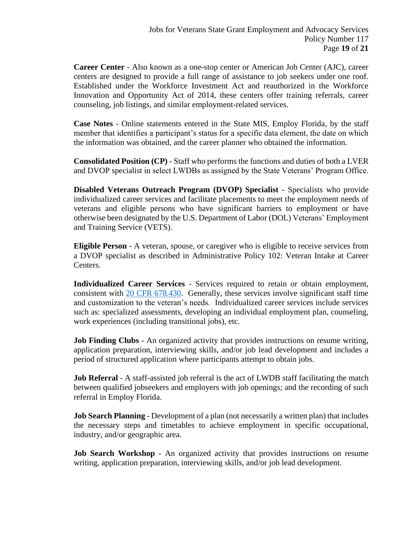**Career Center** - Also known as a one-stop center or American Job Center (AJC), career centers are designed to provide a full range of assistance to job seekers under one roof. Established under the Workforce Investment Act and reauthorized in the Workforce Innovation and Opportunity Act of 2014, these centers offer training referrals, career counseling, job listings, and similar employment-related services.

**Case Notes** - Online statements entered in the State MIS, Employ Florida, by the staff member that identifies a participant's status for a specific data element, the date on which the information was obtained, and the career planner who obtained the information.

**Consolidated Position (CP)** - Staff who performs the functions and duties of both a LVER and DVOP specialist in select LWDBs as assigned by the State Veterans' Program Office.

**Disabled Veterans Outreach Program (DVOP) Specialist** - Specialists who provide individualized career services and facilitate placements to meet the employment needs of veterans and eligible persons who have significant barriers to employment or have otherwise been designated by the U.S. Department of Labor (DOL) Veterans' Employment and Training Service (VETS).

**Eligible Person** - A veteran, spouse, or caregiver who is eligible to receive services from a DVOP specialist as described in Administrative Policy 102: Veteran Intake at Career Centers.

**Individualized Career Services** - Services required to retain or obtain employment, consistent with [20 CFR 678.430.](https://www.govinfo.gov/content/pkg/CFR-2017-title20-vol4/pdf/CFR-2017-title20-vol4-sec678-430.pdf) Generally, these services involve significant staff time and customization to the veteran's needs. Individualized career services include services such as: specialized assessments, developing an individual employment plan, counseling, work experiences (including transitional jobs), etc.

**Job Finding Clubs** - An organized activity that provides instructions on resume writing, application preparation, interviewing skills, and/or job lead development and includes a period of structured application where participants attempt to obtain jobs.

**Job Referral** - A staff-assisted job referral is the act of LWDB staff facilitating the match between qualified jobseekers and employers with job openings; and the recording of such referral in Employ Florida.

**Job Search Planning** - Development of a plan (not necessarily a written plan) that includes the necessary steps and timetables to achieve employment in specific occupational, industry, and/or geographic area.

**Job Search Workshop** - An organized activity that provides instructions on resume writing, application preparation, interviewing skills, and/or job lead development.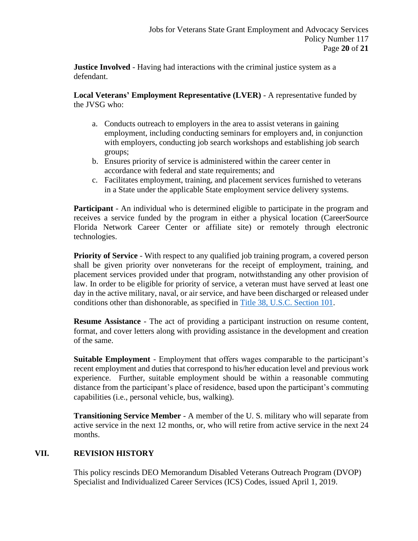**Justice Involved** - Having had interactions with the criminal justice system as a defendant.

#### **Local Veterans' Employment Representative (LVER)** - A representative funded by the JVSG who:

- a. Conducts outreach to employers in the area to assist veterans in gaining employment, including conducting seminars for employers and, in conjunction with employers, conducting job search workshops and establishing job search groups;
- b. Ensures priority of service is administered within the career center in accordance with federal and state requirements; and
- c. Facilitates employment, training, and placement services furnished to veterans in a State under the applicable State employment service delivery systems.

**Participant** - An individual who is determined eligible to participate in the program and receives a service funded by the program in either a physical location (CareerSource Florida Network Career Center or affiliate site) or remotely through electronic technologies.

**Priority of Service** - With respect to any qualified job training program, a covered person shall be given priority over nonveterans for the receipt of employment, training, and placement services provided under that program, notwithstanding any other provision of law. In order to be eligible for priority of service, a veteran must have served at least one day in the active military, naval, or air service, and have been discharged or released under conditions other than dishonorable, as specified in [Title 38, U.S.C. Section 101.](https://www.govinfo.gov/content/pkg/USCODE-2011-title38/html/USCODE-2011-title38-partI.htm)

**Resume Assistance** - The act of providing a participant instruction on resume content, format, and cover letters along with providing assistance in the development and creation of the same.

**Suitable Employment** - Employment that offers wages comparable to the participant's recent employment and duties that correspond to his/her education level and previous work experience. Further, suitable employment should be within a reasonable commuting distance from the participant's place of residence, based upon the participant's commuting capabilities (i.e., personal vehicle, bus, walking).

**Transitioning Service Member** - A member of the U. S. military who will separate from active service in the next 12 months, or, who will retire from active service in the next 24 months.

# **VII. REVISION HISTORY**

This policy rescinds DEO Memorandum Disabled Veterans Outreach Program (DVOP) Specialist and Individualized Career Services (ICS) Codes, issued April 1, 2019.